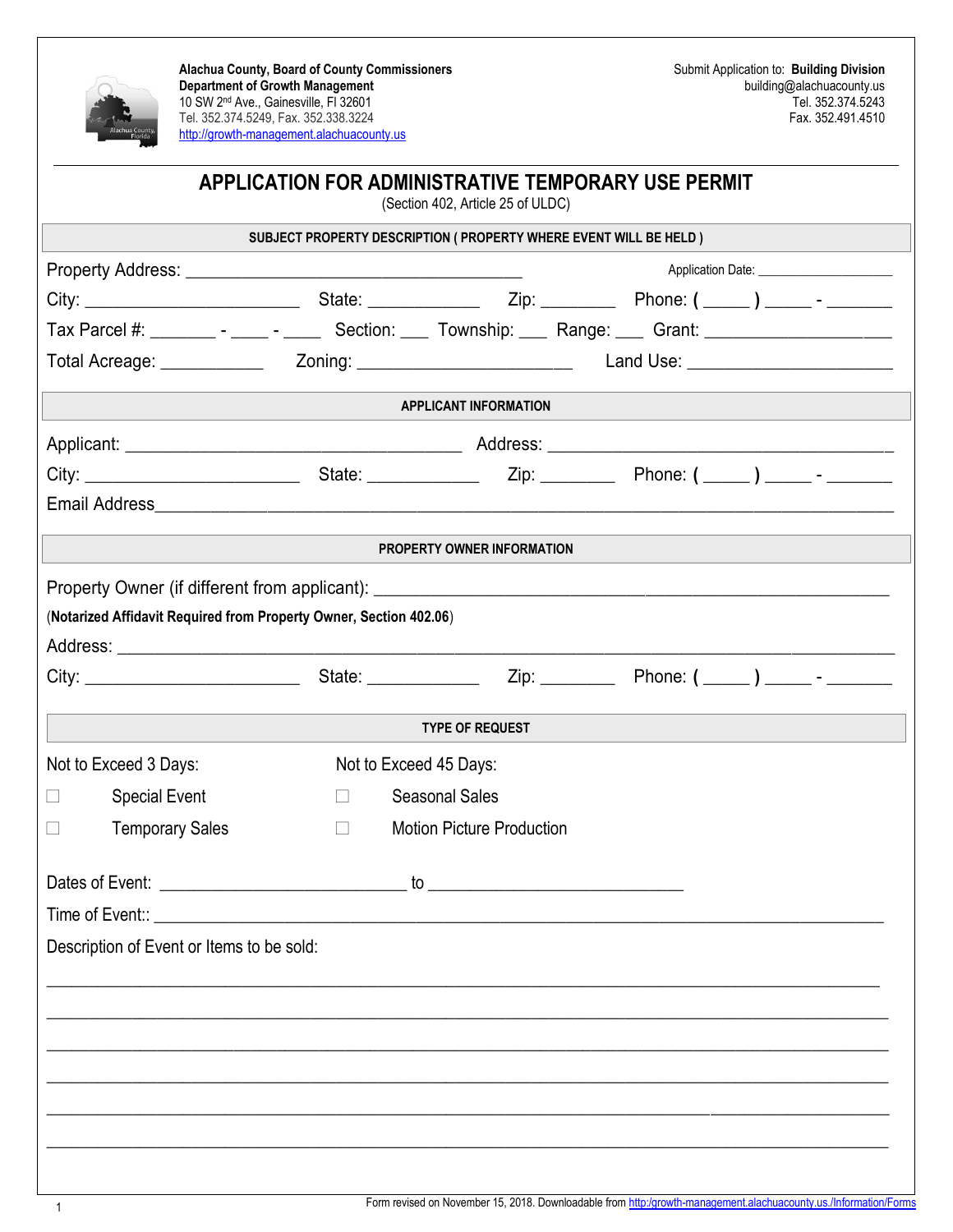

**Alachua County, Board of County Commissioners Department of Growth Management** 10 SW 2nd Ave., Gainesville, Fl 32601 Tel. 352.374.5249, Fax. 352.338.3224 [http://growth-management.alachuacounty.us](http://growth-management.alachuacounty.us/)

|                       |                                                                    |                        | (Section 402, Article 25 of ULDC)                                  | APPLICATION FOR ADMINISTRATIVE TEMPORARY USE PERMIT                                                            |  |  |
|-----------------------|--------------------------------------------------------------------|------------------------|--------------------------------------------------------------------|----------------------------------------------------------------------------------------------------------------|--|--|
|                       |                                                                    |                        | SUBJECT PROPERTY DESCRIPTION ( PROPERTY WHERE EVENT WILL BE HELD ) |                                                                                                                |  |  |
|                       |                                                                    |                        |                                                                    |                                                                                                                |  |  |
|                       |                                                                    |                        |                                                                    |                                                                                                                |  |  |
|                       |                                                                    |                        |                                                                    | Tax Parcel #: _________ - _____ - ______ Section: ____ Township: ____ Range: ____ Grant: _____________________ |  |  |
|                       |                                                                    |                        |                                                                    |                                                                                                                |  |  |
|                       |                                                                    |                        | <b>APPLICANT INFORMATION</b>                                       |                                                                                                                |  |  |
|                       |                                                                    |                        |                                                                    |                                                                                                                |  |  |
|                       |                                                                    |                        |                                                                    |                                                                                                                |  |  |
|                       |                                                                    |                        |                                                                    |                                                                                                                |  |  |
|                       |                                                                    |                        | PROPERTY OWNER INFORMATION                                         |                                                                                                                |  |  |
|                       | (Notarized Affidavit Required from Property Owner, Section 402.06) |                        |                                                                    |                                                                                                                |  |  |
|                       |                                                                    |                        |                                                                    |                                                                                                                |  |  |
|                       |                                                                    |                        | <b>TYPE OF REQUEST</b>                                             |                                                                                                                |  |  |
| Not to Exceed 3 Days: |                                                                    | Not to Exceed 45 Days: |                                                                    |                                                                                                                |  |  |
| $\Box$                | <b>Special Event</b>                                               | $\Box$                 | <b>Seasonal Sales</b>                                              |                                                                                                                |  |  |
| $\Box$                | <b>Temporary Sales</b>                                             | $\Box$                 | <b>Motion Picture Production</b>                                   |                                                                                                                |  |  |
|                       |                                                                    |                        |                                                                    |                                                                                                                |  |  |
|                       |                                                                    |                        |                                                                    |                                                                                                                |  |  |
|                       | Description of Event or Items to be sold:                          |                        |                                                                    |                                                                                                                |  |  |